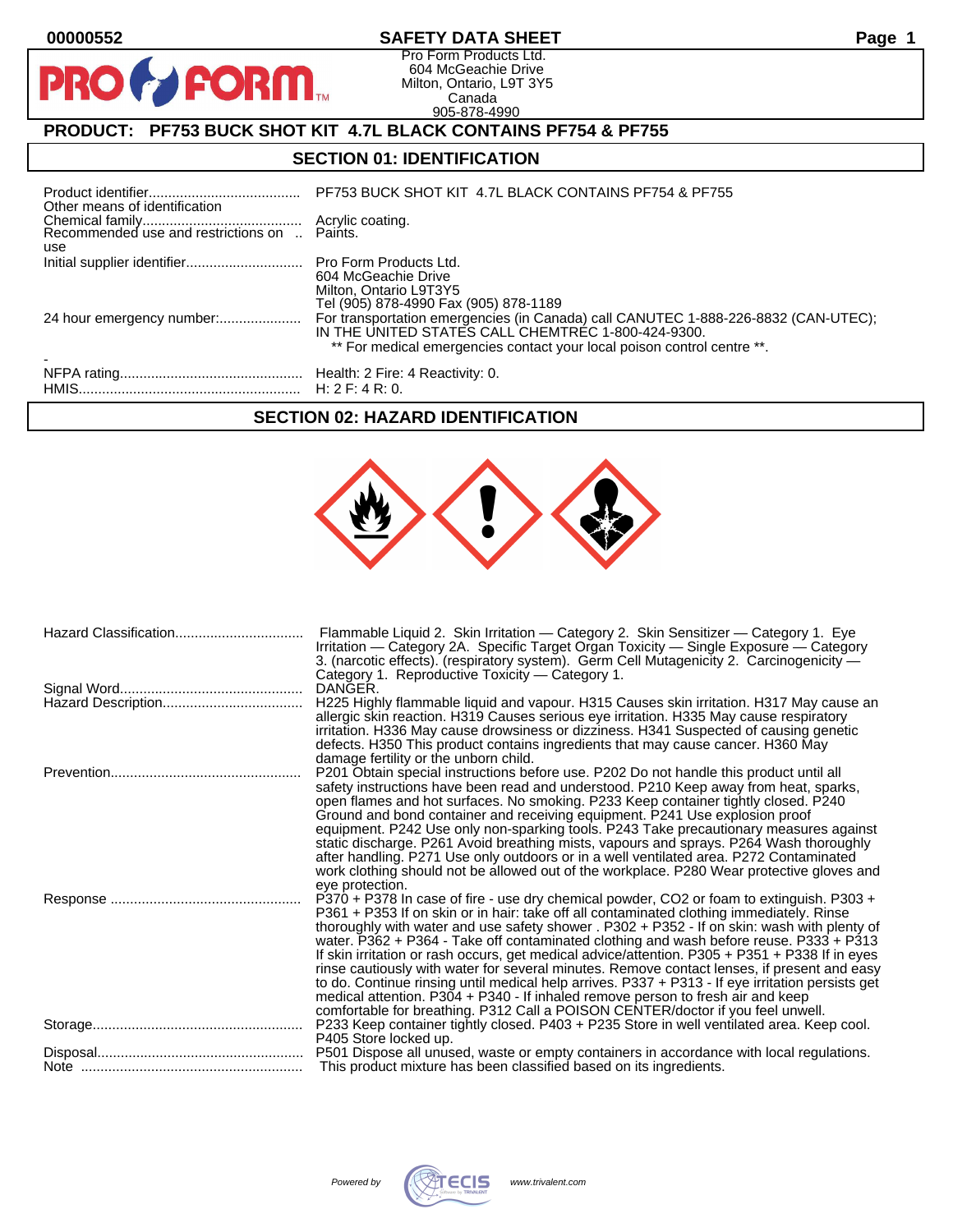PRO

#### **00000552 SAFETY DATA SHEET Page 1**

Pro Form Products Ltd. 604 McGeachie Drive Milton, Ontario, L9T 3Y5 Canada 905-878-4990

# **PRODUCT: PF753 BUCK SHOT KIT 4.7L BLACK CONTAINS PF754 & PF755**

**FORM.** 

### **SECTION 01: IDENTIFICATION**

| Other means of identification |                                                                                                                               |
|-------------------------------|-------------------------------------------------------------------------------------------------------------------------------|
| use                           |                                                                                                                               |
|                               | 604 McGeachie Drive<br>Milton, Ontario L9T3Y5<br>Tel (905) 878-4990 Fax (905) 878-1189                                        |
|                               | IN THE UNITED STATES CALL CHEMTREC 1-800-424-9300.<br>** For medical emergencies contact your local poison control centre **. |
|                               |                                                                                                                               |

#### **SECTION 02: HAZARD IDENTIFICATION**

| Hazard Classification | Flammable Liquid 2. Skin Irritation - Category 2. Skin Sensitizer - Category 1. Eye<br>Irritation — Category 2A. Specific Target Organ Toxicity — Single Exposure — Category<br>3. (narcotic effects). (respiratory system). Germ Cell Mutagenicity 2. Carcinogenicity —<br>Category 1. Reproductive Toxicity - Category 1.                                                                                                                                                                                                                                                                                                                                                                                                                                                                                                                              |
|-----------------------|----------------------------------------------------------------------------------------------------------------------------------------------------------------------------------------------------------------------------------------------------------------------------------------------------------------------------------------------------------------------------------------------------------------------------------------------------------------------------------------------------------------------------------------------------------------------------------------------------------------------------------------------------------------------------------------------------------------------------------------------------------------------------------------------------------------------------------------------------------|
|                       | DANGER.<br>H225 Highly flammable liquid and vapour. H315 Causes skin irritation. H317 May cause an<br>allergic skin reaction. H319 Causes serious eye irritation. H335 May cause respiratory<br>irritation. H336 May cause drowsiness or dizziness. H341 Suspected of causing genetic<br>defects. H350 This product contains ingredients that may cause cancer. H360 May<br>damage fertility or the unborn child.                                                                                                                                                                                                                                                                                                                                                                                                                                        |
|                       | P201 Obtain special instructions before use. P202 Do not handle this product until all<br>safety instructions have been read and understood. P210 Keep away from heat, sparks,<br>open flames and hot surfaces. No smoking. P233 Keep container tightly closed. P240<br>Ground and bond container and receiving equipment. P241 Use explosion proof<br>equipment. P242 Use only non-sparking tools. P243 Take precautionary measures against<br>static discharge. P261 Avoid breathing mists, vapours and sprays. P264 Wash thoroughly<br>after handling. P271 Use only outdoors or in a well ventilated area. P272 Contaminated<br>work clothing should not be allowed out of the workplace. P280 Wear protective gloves and<br>eye protection.                                                                                                         |
|                       | P370 + P378 In case of fire - use dry chemical powder, CO2 or foam to extinguish. P303 +<br>P361 + P353 If on skin or in hair: take off all contaminated clothing immediately. Rinse<br>thoroughly with water and use safety shower . P302 + P352 - If on skin: wash with plenty of<br>water. P362 + P364 - Take off contaminated clothing and wash before reuse. P333 + P313<br>If skin irritation or rash occurs, get medical advice/attention. P305 + P351 + P338 If in eyes<br>rinse cautiously with water for several minutes. Remove contact lenses, if present and easy<br>to do. Continue rinsing until medical help arrives. P337 + P313 - If eye irritation persists get<br>medical attention. P304 + P340 - If inhaled remove person to fresh air and keep<br>comfortable for breathing. P312 Call a POISON CENTER/doctor if you feel unwell. |
|                       | P233 Keep container tightly closed. P403 + P235 Store in well ventilated area. Keep cool.<br>P405 Store locked up.                                                                                                                                                                                                                                                                                                                                                                                                                                                                                                                                                                                                                                                                                                                                       |
|                       | P501 Dispose all unused, waste or empty containers in accordance with local regulations.                                                                                                                                                                                                                                                                                                                                                                                                                                                                                                                                                                                                                                                                                                                                                                 |
|                       |                                                                                                                                                                                                                                                                                                                                                                                                                                                                                                                                                                                                                                                                                                                                                                                                                                                          |

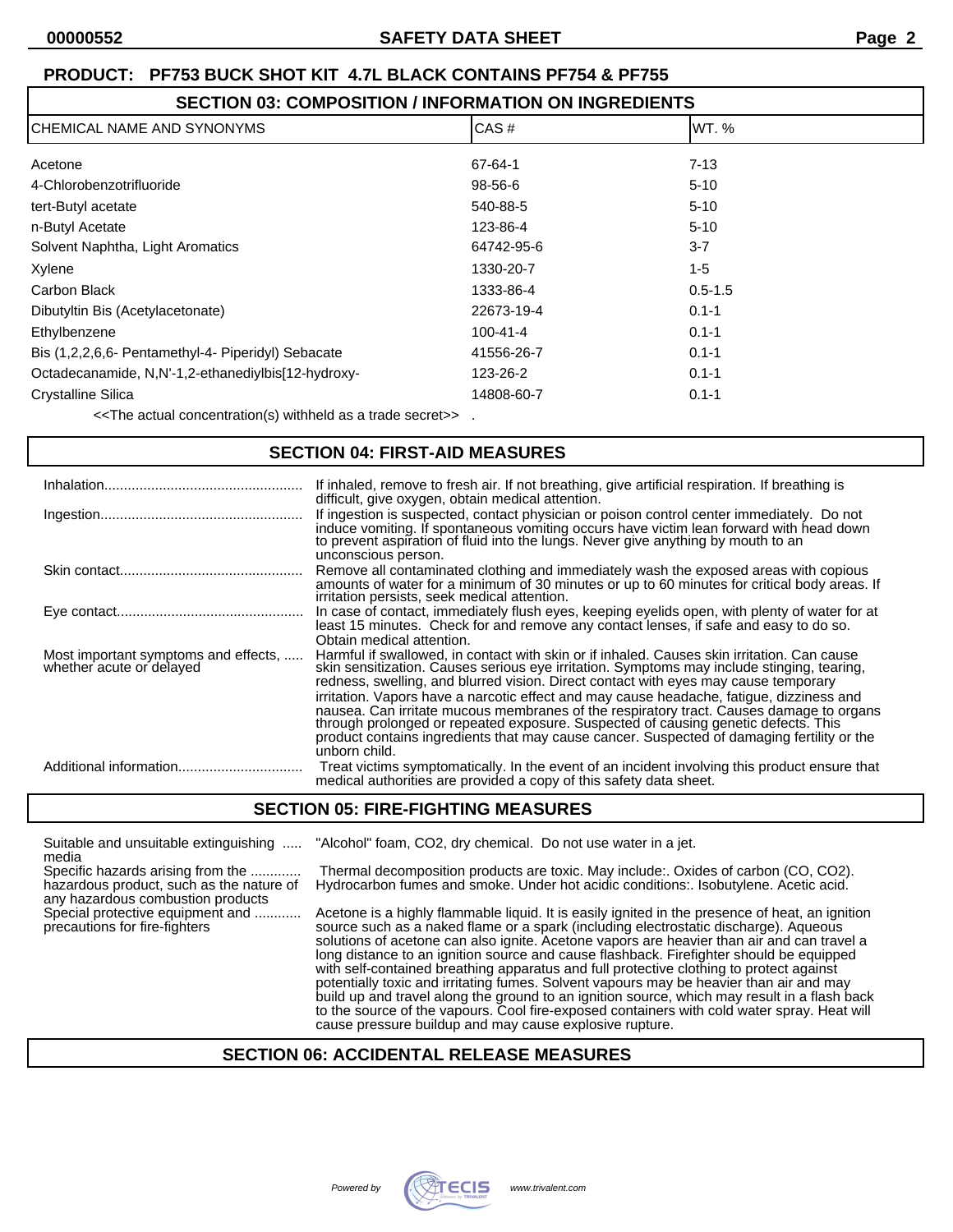# **SECTION 03: COMPOSITION / INFORMATION ON INGREDIENTS**

| ICHEMICAL NAME AND SYNONYMS                        | CAS#           | WT. %       |  |
|----------------------------------------------------|----------------|-------------|--|
| Acetone                                            | 67-64-1        | $7 - 13$    |  |
| 4-Chlorobenzotrifluoride                           | 98-56-6        | $5 - 10$    |  |
| tert-Butyl acetate                                 | 540-88-5       | $5 - 10$    |  |
| n-Butyl Acetate                                    | 123-86-4       | $5 - 10$    |  |
| Solvent Naphtha, Light Aromatics                   | 64742-95-6     | $3 - 7$     |  |
| Xylene                                             | 1330-20-7      | $1 - 5$     |  |
| Carbon Black                                       | 1333-86-4      | $0.5 - 1.5$ |  |
| Dibutyltin Bis (Acetylacetonate)                   | 22673-19-4     | $0.1 - 1$   |  |
| Ethylbenzene                                       | $100 - 41 - 4$ | $0.1 - 1$   |  |
| Bis (1,2,2,6,6- Pentamethyl-4- Piperidyl) Sebacate | 41556-26-7     | $0.1 - 1$   |  |
| Octadecanamide, N,N'-1,2-ethanediylbis[12-hydroxy- | 123-26-2       | $0.1 - 1$   |  |
| <b>Crystalline Silica</b>                          | 14808-60-7     | $0.1 - 1$   |  |
|                                                    |                |             |  |

<<The actual concentration(s) withheld as a trade secret>> .

#### **SECTION 04: FIRST-AID MEASURES**

|                                                                  | If inhaled, remove to fresh air. If not breathing, give artificial respiration. If breathing is<br>difficult, give oxygen, obtain medical attention.                                                                                                                                                                                                                                                                                                                                                                                                                                                                                                                         |
|------------------------------------------------------------------|------------------------------------------------------------------------------------------------------------------------------------------------------------------------------------------------------------------------------------------------------------------------------------------------------------------------------------------------------------------------------------------------------------------------------------------------------------------------------------------------------------------------------------------------------------------------------------------------------------------------------------------------------------------------------|
|                                                                  | If ingestion is suspected, contact physician or poison control center immediately. Do not<br>induce vomiting. If spontaneous vomiting occurs have victim lean forward with head down to prevent aspiration of fluid into the lungs. Never give anything by mouth to an<br>unconscious person.                                                                                                                                                                                                                                                                                                                                                                                |
|                                                                  | Remove all contaminated clothing and immediately wash the exposed areas with copious<br>amounts of water for a minimum of 30 minutes or up to 60 minutes for critical body areas. If<br>irritation persists, seek medical attention.                                                                                                                                                                                                                                                                                                                                                                                                                                         |
|                                                                  | In case of contact, immediately flush eyes, keeping eyelids open, with plenty of water for at<br>least 15 minutes. Check for and remove any contact lenses, if safe and easy to do so.<br>Obtain medical attention.                                                                                                                                                                                                                                                                                                                                                                                                                                                          |
| Most important symptoms and effects,<br>whether acute or delayed | Harmful if swallowed, in contact with skin or if inhaled. Causes skin irritation. Can cause<br>skin sensitization. Causes serious eye irritation. Symptoms may include stinging, tearing,<br>redness, swelling, and blurred vision. Direct contact with eyes may cause temporary<br>irritation. Vapors have a narcotic effect and may cause headache, fatigue, dizziness and<br>nausea. Can irritate mucous membranes of the respiratory tract. Causes damage to organs<br>through prolonged or repeated exposure. Suspected of causing genetic defects. This<br>product contains ingredients that may cause cancer. Suspected of damaging fertility or the<br>unborn child. |
| Additional information                                           | Treat victims symptomatically. In the event of an incident involving this product ensure that<br>medical authorities are provided a copy of this safety data sheet.                                                                                                                                                                                                                                                                                                                                                                                                                                                                                                          |

#### **SECTION 05: FIRE-FIGHTING MEASURES**

Suitable and unsuitable extinguishing ..... "Alcohol" foam, CO2, dry chemical. Do not use water in a jet.

media<br>Specific hazards arising from the ............ any hazardous combustion products<br>Special protective equipment and ............

Thermal decomposition products are toxic. May include:. Oxides of carbon (CO, CO2). hazardous product, such as the nature of Hydrocarbon fumes and smoke. Under hot acidic conditions:. Isobutylene. Acetic acid.

Acetone is a highly flammable liquid. It is easily ignited in the presence of heat, an ignition precautions for fire-fighters source such as a naked flame or a spark (including electrostatic discharge). Aqueous solutions of acetone can also ignite. Acetone vapors are heavier than air and can travel a long distance to an ignition source and cause flashback. Firefighter should be equipped with self-contained breathing apparatus and full protective clothing to protect against potentially toxic and irritating fumes. Solvent vapours may be heavier than air and may build up and travel along the ground to an ignition source, which may result in a flash back to the source of the vapours. Cool fire-exposed containers with cold water spray. Heat will cause pressure buildup and may cause explosive rupture.

#### **SECTION 06: ACCIDENTAL RELEASE MEASURES**

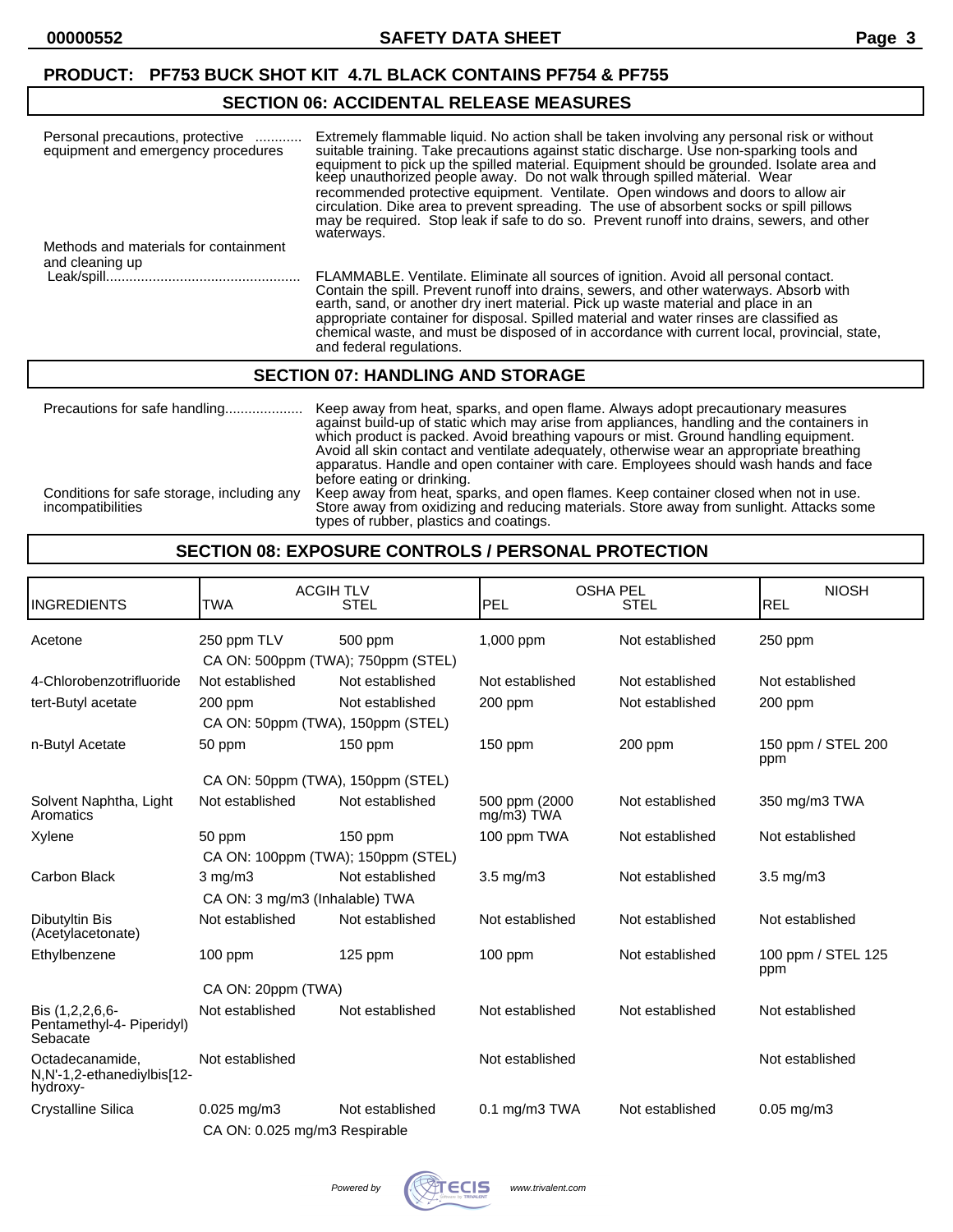# **SECTION 06: ACCIDENTAL RELEASE MEASURES**

| Personal precautions, protective<br>equipment and emergency procedures | Extremely flammable liquid. No action shall be taken involving any personal risk or without<br>suitable training. Take precautions against static discharge. Use non-sparking tools and<br>equipment to pick up the spilled material. Equipment should be grounded. Isolate area and<br>keep unauthorized people away. Do not walk through spilled material. Wear<br>recommended protective equipment. Ventilate. Open windows and doors to allow air<br>circulation. Dike area to prevent spreading. The use of absorbent socks or spill pillows<br>may be required. Stop leak if safe to do so. Prevent runoff into drains, sewers, and other<br>waterways. |
|------------------------------------------------------------------------|---------------------------------------------------------------------------------------------------------------------------------------------------------------------------------------------------------------------------------------------------------------------------------------------------------------------------------------------------------------------------------------------------------------------------------------------------------------------------------------------------------------------------------------------------------------------------------------------------------------------------------------------------------------|
| Methods and materials for containment<br>and cleaning up               |                                                                                                                                                                                                                                                                                                                                                                                                                                                                                                                                                                                                                                                               |
|                                                                        | FLAMMABLE. Ventilate. Eliminate all sources of ignition. Avoid all personal contact.<br>Contain the spill. Prevent runoff into drains, sewers, and other waterways. Absorb with<br>earth, sand, or another dry inert material. Pick up waste material and place in an<br>appropriate container for disposal. Spilled material and water rinses are classified as<br>chemical waste, and must be disposed of in accordance with current local, provincial, state,<br>and federal regulations.                                                                                                                                                                  |

#### **SECTION 07: HANDLING AND STORAGE**

| Precautions for safe handling                                   | Keep away from heat, sparks, and open flame. Always adopt precautionary measures<br>against build-up of static which may arise from appliances, handling and the containers in<br>which product is packed. Avoid breathing vapours or mist. Ground handling equipment.<br>Avoid all skin contact and ventilate adequately, otherwise wear an appropriate breathing<br>apparatus. Handle and open container with care. Employees should wash hands and face<br>before eating or drinking. |
|-----------------------------------------------------------------|------------------------------------------------------------------------------------------------------------------------------------------------------------------------------------------------------------------------------------------------------------------------------------------------------------------------------------------------------------------------------------------------------------------------------------------------------------------------------------------|
| Conditions for safe storage, including any<br>incompatibilities | Keep away from heat, sparks, and open flames. Keep container closed when not in use.<br>Store away from oxidizing and reducing materials. Store away from sunlight. Attacks some<br>types of rubber, plastics and coatings.                                                                                                                                                                                                                                                              |

#### **SECTION 08: EXPOSURE CONTROLS / PERSONAL PROTECTION**

| <b>INGREDIENTS</b>                                        | <b>ACGIH TLV</b><br><b>TWA</b>                    | <b>STEL</b>     | <b>OSHA PEL</b><br><b>PEL</b> | <b>STEL</b>     | <b>NIOSH</b><br>REL       |
|-----------------------------------------------------------|---------------------------------------------------|-----------------|-------------------------------|-----------------|---------------------------|
| Acetone                                                   | 250 ppm TLV<br>CA ON: 500ppm (TWA); 750ppm (STEL) | 500 ppm         | 1,000 ppm                     | Not established | 250 ppm                   |
| 4-Chlorobenzotrifluoride                                  | Not established                                   | Not established | Not established               | Not established | Not established           |
| tert-Butyl acetate                                        | 200 ppm<br>CA ON: 50ppm (TWA), 150ppm (STEL)      | Not established | 200 ppm                       | Not established | 200 ppm                   |
| n-Butyl Acetate                                           | 50 ppm                                            | 150 ppm         | $150$ ppm                     | $200$ ppm       | 150 ppm / STEL 200<br>ppm |
|                                                           | CA ON: 50ppm (TWA), 150ppm (STEL)                 |                 |                               |                 |                           |
| Solvent Naphtha, Light<br>Aromatics                       | Not established                                   | Not established | 500 ppm (2000<br>mg/m3) TWA   | Not established | 350 mg/m3 TWA             |
| Xylene                                                    | 50 ppm<br>CA ON: 100ppm (TWA); 150ppm (STEL)      | $150$ ppm       | 100 ppm TWA                   | Not established | Not established           |
| Carbon Black                                              | $3$ mg/m $3$<br>CA ON: 3 mg/m3 (Inhalable) TWA    | Not established | $3.5 \text{ mg/m}$            | Not established | $3.5 \text{ mg/m}$        |
| Dibutyltin Bis<br>(Acetylacetonate)                       | Not established                                   | Not established | Not established               | Not established | Not established           |
| Ethylbenzene                                              | $100$ ppm                                         | 125 ppm         | $100$ ppm                     | Not established | 100 ppm / STEL 125<br>ppm |
|                                                           | CA ON: 20ppm (TWA)                                |                 |                               |                 |                           |
| Bis (1,2,2,6,6-<br>Pentamethyl-4- Piperidyl)<br>Sebacate  | Not established                                   | Not established | Not established               | Not established | Not established           |
| Octadecanamide,<br>N,N'-1,2-ethanediylbis[12-<br>hydroxy- | Not established                                   |                 | Not established               |                 | Not established           |
| <b>Crystalline Silica</b>                                 | $0.025$ mg/m $3$                                  | Not established | $0.1$ mg/m $3$ TWA            | Not established | $0.05$ mg/m $3$           |
|                                                           | CA ON: 0.025 mg/m3 Respirable                     |                 |                               |                 |                           |

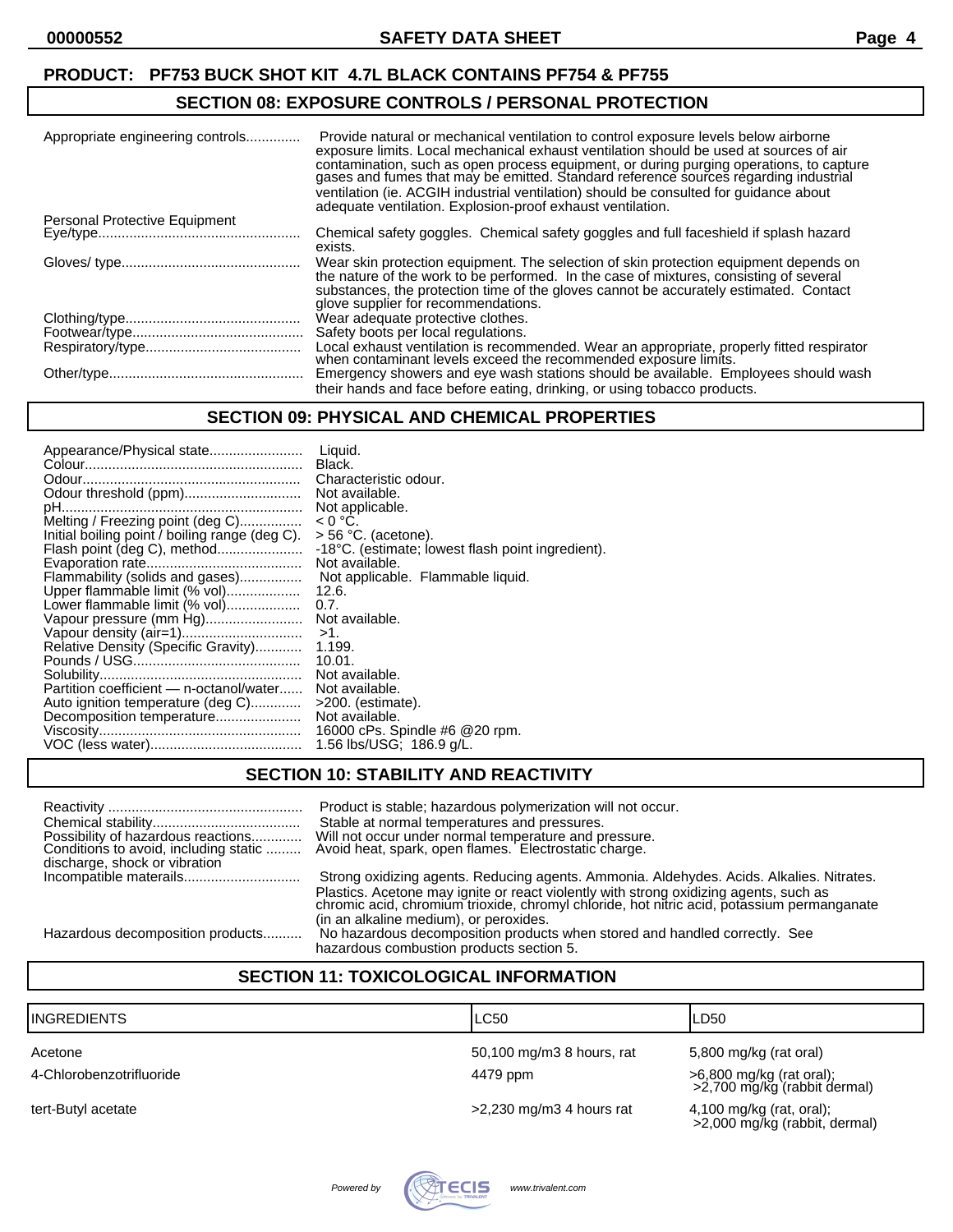#### **SECTION 08: EXPOSURE CONTROLS / PERSONAL PROTECTION**

| Appropriate engineering controls | Provide natural or mechanical ventilation to control exposure levels below airborne<br>exposure limits. Local mechanical exhaust ventilation should be used at sources of air<br>contamination, such as open process equipment, or during purging operations, to capture gases and fumes that may be emitted. Standard reference sources regarding industrial<br>ventilation (ie. ACGIH industrial ventilation) should be consulted for guidance about<br>adequate ventilation. Explosion-proof exhaust ventilation. |
|----------------------------------|----------------------------------------------------------------------------------------------------------------------------------------------------------------------------------------------------------------------------------------------------------------------------------------------------------------------------------------------------------------------------------------------------------------------------------------------------------------------------------------------------------------------|
| Personal Protective Equipment    |                                                                                                                                                                                                                                                                                                                                                                                                                                                                                                                      |
|                                  | Chemical safety goggles. Chemical safety goggles and full faceshield if splash hazard<br>exists.                                                                                                                                                                                                                                                                                                                                                                                                                     |
|                                  | Wear skin protection equipment. The selection of skin protection equipment depends on<br>the nature of the work to be performed. In the case of mixtures, consisting of several<br>substances, the protection time of the gloves cannot be accurately estimated. Contact<br>glove supplier for recommendations.                                                                                                                                                                                                      |
|                                  | Wear adequate protective clothes.                                                                                                                                                                                                                                                                                                                                                                                                                                                                                    |
|                                  | Safety boots per local regulations.                                                                                                                                                                                                                                                                                                                                                                                                                                                                                  |
|                                  | Local exhaust ventilation is recommended. Wear an appropriate, properly fitted respirator<br>when contaminant levels exceed the recommended exposure limits.                                                                                                                                                                                                                                                                                                                                                         |
|                                  | Emergency showers and eye wash stations should be available. Employees should wash                                                                                                                                                                                                                                                                                                                                                                                                                                   |
|                                  | their hands and face before eating, drinking, or using tobacco products.                                                                                                                                                                                                                                                                                                                                                                                                                                             |

#### **SECTION 09: PHYSICAL AND CHEMICAL PROPERTIES**

| Appearance/Physical state                      | Liauid.<br>Black.                                   |
|------------------------------------------------|-----------------------------------------------------|
|                                                | Characteristic odour.                               |
| Odour threshold (ppm)                          | Not available.                                      |
| Melting / Freezing point (deg C)               | Not applicable.<br>$< 0 °C$ .                       |
| Initial boiling point / boiling range (deg C). | $>$ 56 °C. (acetone).                               |
| Flash point (deg C), method                    | -18°C. (estimate; lowest flash point ingredient).   |
| Flammability (solids and gases)                | Not available.<br>Not applicable. Flammable liquid. |
| Upper flammable limit (% vol)                  | 12.6.                                               |
| Lower flammable limit (% vol)                  | 0.7.                                                |
| Vapour pressure (mm Hg)                        | Not available.<br>$>1$ .                            |
| Relative Density (Specific Gravity)            | 1.199.                                              |
|                                                | 10.01.                                              |
| Partition coefficient - n-octanol/water        | Not available.<br>Not available.                    |
| Auto ignition temperature (deg C)              | >200. (estimate).                                   |
| Decomposition temperature                      | Not available.                                      |
|                                                | 16000 cPs. Spindle #6 @20 rpm.                      |
|                                                | 1.56 lbs/USG; 186.9 g/L.                            |

#### **SECTION 10: STABILITY AND REACTIVITY**

| Possibility of hazardous reactions<br>Conditions to avoid, including static<br>discharge, shock or vibration | Product is stable; hazardous polymerization will not occur.<br>Stable at normal temperatures and pressures.<br>Will not occur under normal temperature and pressure.<br>Avoid heat, spark, open flames. Electrostatic charge. |
|--------------------------------------------------------------------------------------------------------------|-------------------------------------------------------------------------------------------------------------------------------------------------------------------------------------------------------------------------------|
|                                                                                                              | Strong oxidizing agents. Reducing agents. Ammonia. Aldehydes. Acids. Alkalies. Nitrates.                                                                                                                                      |
|                                                                                                              | Plastics. Acetone may ignite or react violently with strong oxidizing agents, such as<br>chromic acid, chromium trioxide, chromyl chloride, hot nitric acid, potassium permanganate<br>(in an alkaline medium), or peroxides. |
| Hazardous decomposition products                                                                             | No hazardous decomposition products when stored and handled correctly. See                                                                                                                                                    |
|                                                                                                              | hazardous combustion products section 5.                                                                                                                                                                                      |

# **SECTION 11: TOXICOLOGICAL INFORMATION**

| <b>INGREDIENTS</b>       | <b>LC50</b>                | ILD50                                                     |
|--------------------------|----------------------------|-----------------------------------------------------------|
| Acetone                  | 50,100 mg/m3 8 hours, rat  | 5,800 mg/kg (rat oral)                                    |
| 4-Chlorobenzotrifluoride | 4479 ppm                   | >6,800 mg/kg (rat oral);<br>>2,700 mg/kg (rabbit dermal)  |
| tert-Butyl acetate       | $>2,230$ mg/m3 4 hours rat | 4,100 mg/kg (rat, oral);<br>>2,000 mg/kg (rabbit, dermal) |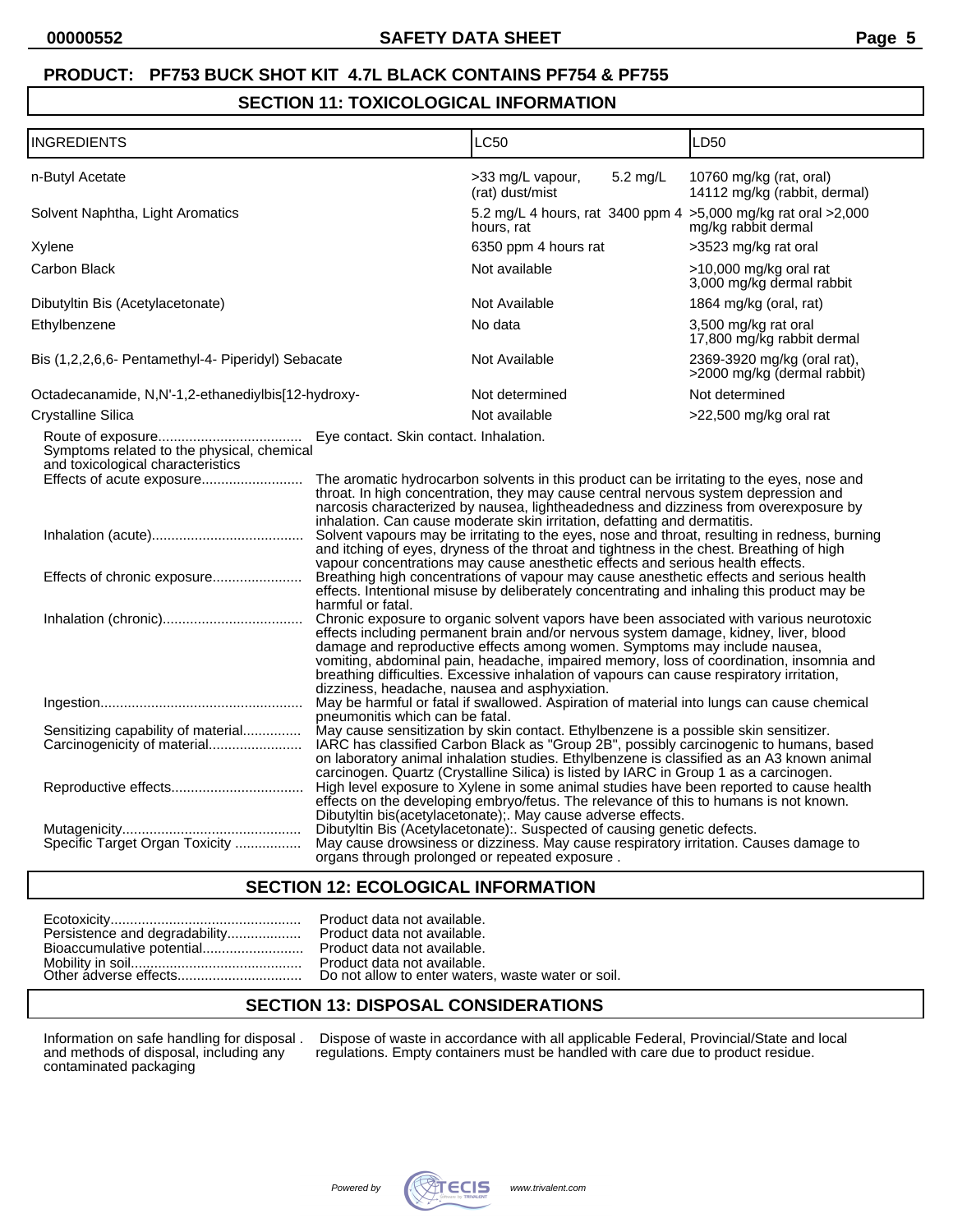#### **SECTION 11: TOXICOLOGICAL INFORMATION**

| <b>INGREDIENTS</b>                                                                                             |                                                                                                                                                                                                                                                                                                                                                                                                                                                                                                                                                                                                                                                                                                                                                                                                                                                                                                                                                                                                                                                                                                                                                                                                                                                                                                      | LC50                                                                                                                                                                                                                                                                                                                                                                                                                                                                                                                                                                                                                                                                                                                                                                                                                                                                                                            |  | LD50                                                                                          |
|----------------------------------------------------------------------------------------------------------------|------------------------------------------------------------------------------------------------------------------------------------------------------------------------------------------------------------------------------------------------------------------------------------------------------------------------------------------------------------------------------------------------------------------------------------------------------------------------------------------------------------------------------------------------------------------------------------------------------------------------------------------------------------------------------------------------------------------------------------------------------------------------------------------------------------------------------------------------------------------------------------------------------------------------------------------------------------------------------------------------------------------------------------------------------------------------------------------------------------------------------------------------------------------------------------------------------------------------------------------------------------------------------------------------------|-----------------------------------------------------------------------------------------------------------------------------------------------------------------------------------------------------------------------------------------------------------------------------------------------------------------------------------------------------------------------------------------------------------------------------------------------------------------------------------------------------------------------------------------------------------------------------------------------------------------------------------------------------------------------------------------------------------------------------------------------------------------------------------------------------------------------------------------------------------------------------------------------------------------|--|-----------------------------------------------------------------------------------------------|
| n-Butyl Acetate                                                                                                |                                                                                                                                                                                                                                                                                                                                                                                                                                                                                                                                                                                                                                                                                                                                                                                                                                                                                                                                                                                                                                                                                                                                                                                                                                                                                                      | >33 mg/L vapour,<br>5.2 mg/L<br>(rat) dust/mist                                                                                                                                                                                                                                                                                                                                                                                                                                                                                                                                                                                                                                                                                                                                                                                                                                                                 |  | 10760 mg/kg (rat, oral)<br>14112 mg/kg (rabbit, dermal)                                       |
| Solvent Naphtha, Light Aromatics                                                                               |                                                                                                                                                                                                                                                                                                                                                                                                                                                                                                                                                                                                                                                                                                                                                                                                                                                                                                                                                                                                                                                                                                                                                                                                                                                                                                      | 5.2 mg/L 4 hours, rat 3400 ppm 4 > 5,000 mg/kg rat oral > 2,000<br>hours, rat                                                                                                                                                                                                                                                                                                                                                                                                                                                                                                                                                                                                                                                                                                                                                                                                                                   |  | mg/kg rabbit dermal                                                                           |
| Xylene                                                                                                         |                                                                                                                                                                                                                                                                                                                                                                                                                                                                                                                                                                                                                                                                                                                                                                                                                                                                                                                                                                                                                                                                                                                                                                                                                                                                                                      | 6350 ppm 4 hours rat                                                                                                                                                                                                                                                                                                                                                                                                                                                                                                                                                                                                                                                                                                                                                                                                                                                                                            |  | >3523 mg/kg rat oral                                                                          |
| <b>Carbon Black</b>                                                                                            |                                                                                                                                                                                                                                                                                                                                                                                                                                                                                                                                                                                                                                                                                                                                                                                                                                                                                                                                                                                                                                                                                                                                                                                                                                                                                                      | Not available                                                                                                                                                                                                                                                                                                                                                                                                                                                                                                                                                                                                                                                                                                                                                                                                                                                                                                   |  | >10,000 mg/kg oral rat<br>3,000 mg/kg dermal rabbit                                           |
| Dibutyltin Bis (Acetylacetonate)                                                                               |                                                                                                                                                                                                                                                                                                                                                                                                                                                                                                                                                                                                                                                                                                                                                                                                                                                                                                                                                                                                                                                                                                                                                                                                                                                                                                      | Not Available                                                                                                                                                                                                                                                                                                                                                                                                                                                                                                                                                                                                                                                                                                                                                                                                                                                                                                   |  | 1864 mg/kg (oral, rat)                                                                        |
| Ethylbenzene                                                                                                   |                                                                                                                                                                                                                                                                                                                                                                                                                                                                                                                                                                                                                                                                                                                                                                                                                                                                                                                                                                                                                                                                                                                                                                                                                                                                                                      | No data                                                                                                                                                                                                                                                                                                                                                                                                                                                                                                                                                                                                                                                                                                                                                                                                                                                                                                         |  | 3,500 mg/kg rat oral<br>17,800 mg/kg rabbit dermal                                            |
| Bis (1,2,2,6,6- Pentamethyl-4- Piperidyl) Sebacate                                                             |                                                                                                                                                                                                                                                                                                                                                                                                                                                                                                                                                                                                                                                                                                                                                                                                                                                                                                                                                                                                                                                                                                                                                                                                                                                                                                      | Not Available                                                                                                                                                                                                                                                                                                                                                                                                                                                                                                                                                                                                                                                                                                                                                                                                                                                                                                   |  | 2369-3920 mg/kg (oral rat),<br>>2000 mg/kg (dermal rabbit)                                    |
| Octadecanamide, N,N'-1,2-ethanediylbis[12-hydroxy-                                                             |                                                                                                                                                                                                                                                                                                                                                                                                                                                                                                                                                                                                                                                                                                                                                                                                                                                                                                                                                                                                                                                                                                                                                                                                                                                                                                      | Not determined                                                                                                                                                                                                                                                                                                                                                                                                                                                                                                                                                                                                                                                                                                                                                                                                                                                                                                  |  | Not determined                                                                                |
| <b>Crystalline Silica</b>                                                                                      |                                                                                                                                                                                                                                                                                                                                                                                                                                                                                                                                                                                                                                                                                                                                                                                                                                                                                                                                                                                                                                                                                                                                                                                                                                                                                                      | Not available                                                                                                                                                                                                                                                                                                                                                                                                                                                                                                                                                                                                                                                                                                                                                                                                                                                                                                   |  | >22,500 mg/kg oral rat                                                                        |
| Symptoms related to the physical, chemical<br>and toxicological characteristics<br>Effects of chronic exposure | harmful or fatal.                                                                                                                                                                                                                                                                                                                                                                                                                                                                                                                                                                                                                                                                                                                                                                                                                                                                                                                                                                                                                                                                                                                                                                                                                                                                                    | The aromatic hydrocarbon solvents in this product can be irritating to the eyes, nose and<br>throat. In high concentration, they may cause central nervous system depression and<br>narcosis characterized by nausea, lightheadedness and dizziness from overexposure by<br>inhalation. Can cause moderate skin irritation, defatting and dermatitis.<br>and itching of eyes, dryness of the throat and tightness in the chest. Breathing of high<br>vapour concentrations may cause anesthetic effects and serious health effects.<br>Breathing high concentrations of vapour may cause anesthetic effects and serious health<br>effects. Intentional misuse by deliberately concentrating and inhaling this product may be<br>Chronic exposure to organic solvent vapors have been associated with various neurotoxic<br>effects including permanent brain and/or nervous system damage, kidney, liver, blood |  | Solvent vapours may be irritating to the eyes, nose and throat, resulting in redness, burning |
| Sensitizing capability of material<br>Carcinogenicity of material<br>Specific Target Organ Toxicity            | damage and reproductive effects among women. Symptoms may include nausea,<br>vomiting, abdominal pain, headache, impaired memory, loss of coordination, insomnia and<br>breathing difficulties. Excessive inhalation of vapours can cause respiratory irritation,<br>dizziness, headache, nausea and asphyxiation.<br>May be harmful or fatal if swallowed. Aspiration of material into lungs can cause chemical<br>pneumonitis which can be fatal.<br>May cause sensitization by skin contact. Ethylbenzene is a possible skin sensitizer.<br>IARC has classified Carbon Black as "Group 2B", possibly carcinogenic to humans, based<br>on laboratory animal inhalation studies. Ethylbenzene is classified as an A3 known animal<br>carcinogen. Quartz (Crystalline Silica) is listed by IARC in Group 1 as a carcinogen.<br>High level exposure to Xylene in some animal studies have been reported to cause health<br>effects on the developing embryo/fetus. The relevance of this to humans is not known.<br>Dibutyltin bis(acetylacetonate); May cause adverse effects.<br>Dibutyltin Bis (Acetylacetonate): Suspected of causing genetic defects.<br>May cause drowsiness or dizziness. May cause respiratory irritation. Causes damage to<br>organs through prolonged or repeated exposure. |                                                                                                                                                                                                                                                                                                                                                                                                                                                                                                                                                                                                                                                                                                                                                                                                                                                                                                                 |  |                                                                                               |

#### **SECTION 12: ECOLOGICAL INFORMATION**

| Persistence and degradability |
|-------------------------------|
|                               |
|                               |

Product data not available. Product data not available. Product data not available. Moduct data not available. Do not allow to enter waters, waste water or soil.

#### **SECTION 13: DISPOSAL CONSIDERATIONS**

Information on safe handling for disposal .<br>and methods of disposal, including any<br>contaminated packaging

Information on safe handling for disposal . Dispose of waste in accordance with all applicable Federal, Provincial/State and local and methods of disposal, including any regulations. Empty containers must be handled with care due to product residue.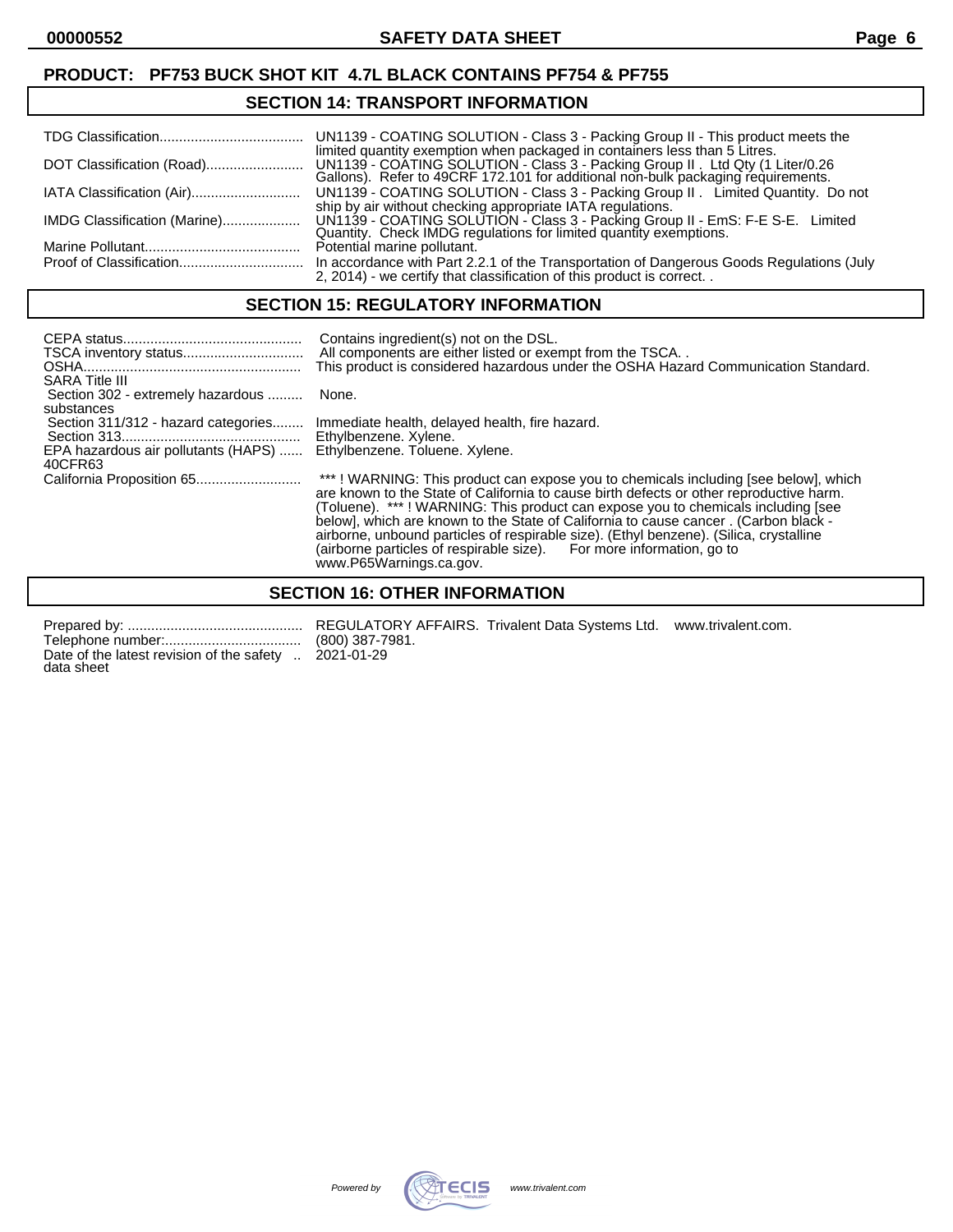#### **SECTION 14: TRANSPORT INFORMATION**

|                              | limited quantity exemption when packaged in containers less than 5 Litres.                                                                                       |
|------------------------------|------------------------------------------------------------------------------------------------------------------------------------------------------------------|
| IATA Classification (Air)    | UN1139 - COATING SOLUTION - Class 3 - Packing Group II. Limited Quantity. Do not<br>ship by air without checking appropriate IATA regulations.                   |
| IMDG Classification (Marine) | UN1139 - COATING SOLUTION - Class 3 - Packing Group II - EmS: F-E S-E. Limited Quantity. Check IMDG regulations for limited quantity exemptions.                 |
|                              | Potential marine pollutant.                                                                                                                                      |
|                              | In accordance with Part 2.2.1 of the Transportation of Dangerous Goods Regulations (July<br>2, 2014) - we certify that classification of this product is correct |

#### **SECTION 15: REGULATORY INFORMATION**

| <b>SARA Title III</b>                             | Contains ingredient(s) not on the DSL.<br>All components are either listed or exempt from the TSCA<br>This product is considered hazardous under the OSHA Hazard Communication Standard.                                                                                                                                                                                                                                                                                                                                                 |
|---------------------------------------------------|------------------------------------------------------------------------------------------------------------------------------------------------------------------------------------------------------------------------------------------------------------------------------------------------------------------------------------------------------------------------------------------------------------------------------------------------------------------------------------------------------------------------------------------|
| Section 302 - extremely hazardous                 | None.                                                                                                                                                                                                                                                                                                                                                                                                                                                                                                                                    |
| substances<br>Section 311/312 - hazard categories | Immediate health, delayed health, fire hazard.<br>Ethylbenzene. Xylene.                                                                                                                                                                                                                                                                                                                                                                                                                                                                  |
| EPA hazardous air pollutants (HAPS)<br>40CFR63    | Ethylbenzene. Toluene. Xylene.                                                                                                                                                                                                                                                                                                                                                                                                                                                                                                           |
|                                                   | ***! WARNING: This product can expose you to chemicals including [see below], which<br>are known to the State of California to cause birth defects or other reproductive harm.<br>(Toluene). ***! WARNING: This product can expose you to chemicals including [see<br>below], which are known to the State of California to cause cancer. (Carbon black -<br>airborne, unbound particles of respirable size). (Ethyl benzene). (Silica, crystalline<br>(airborne particles of respirable size). For more information, go to<br>$R = 111$ |

www.P65Warnings.ca.gov.

#### **SECTION 16: OTHER INFORMATION**

Telephone number:................................... (800) 387-7981. Date of the latest revision of the safety .. 2021-01-29 data sheet

Prepared by: ............................................. REGULATORY AFFAIRS. Trivalent Data Systems Ltd. www.trivalent.com.

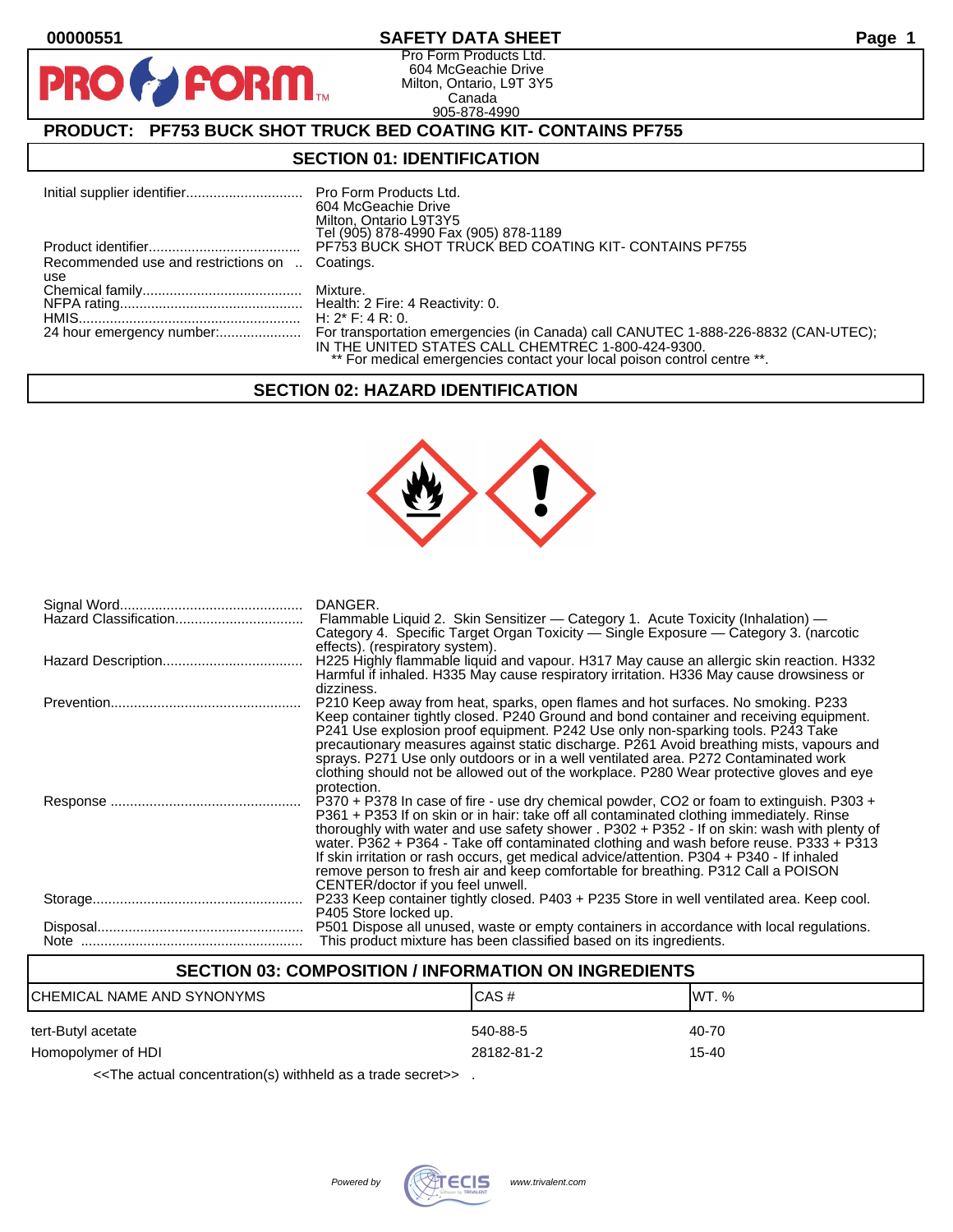**PI** 

#### **00000551 SAFETY DATA SHEET Page 1**

Pro Form Products Ltd. 604 McGeachie Drive Milton, Ontario, L9T 3Y5 Canada 905-878-4990

# **PRODUCT: PF753 BUCK SHOT TRUCK BED COATING KIT- CONTAINS PF755**

**FORM** 

#### **SECTION 01: IDENTIFICATION**

|                                                | Pro Form Products Ltd.<br>604 McGeachie Drive<br>Milton, Ontario L9T3Y5<br>Tel (905) 878-4990 Fax (905) 878-1189              |
|------------------------------------------------|-------------------------------------------------------------------------------------------------------------------------------|
|                                                | PF753 BUCK SHOT TRUCK BED COATING KIT- CONTAINS PF755                                                                         |
| Recommended use and restrictions on  Coatings. |                                                                                                                               |
| use                                            |                                                                                                                               |
|                                                |                                                                                                                               |
|                                                |                                                                                                                               |
|                                                | H: $2^*$ F: 4 R: 0.                                                                                                           |
|                                                | For transportation emergencies (in Canada) call CANUTEC 1-888-226-8832 (CAN-UTEC);                                            |
|                                                | IN THE UNITED STATES CALL CHEMTREC 1-800-424-9300.<br>** For medical emergencies contact your local poison control centre **. |

#### **SECTION 02: HAZARD IDENTIFICATION**



| DANGER.<br>Flammable Liquid 2. Skin Sensitizer — Category 1. Acute Toxicity (Inhalation) —<br>Category 4. Specific Target Organ Toxicity — Single Exposure — Category 3. (narcotic                                                                                                                                                                                                                                                                                                                                                                                                                   |
|------------------------------------------------------------------------------------------------------------------------------------------------------------------------------------------------------------------------------------------------------------------------------------------------------------------------------------------------------------------------------------------------------------------------------------------------------------------------------------------------------------------------------------------------------------------------------------------------------|
| effects). (respiratory system).<br>H225 Highly flammable liquid and vapour. H317 May cause an allergic skin reaction. H332<br>Harmful if inhaled. H335 May cause respiratory irritation. H336 May cause drowsiness or                                                                                                                                                                                                                                                                                                                                                                                |
| dizziness.<br>P210 Keep away from heat, sparks, open flames and hot surfaces. No smoking. P233<br>Keep container tightly closed. P240 Ground and bond container and receiving equipment.<br>P241 Use explosion proof equipment. P242 Use only non-sparking tools. P243 Take<br>precautionary measures against static discharge. P261 Avoid breathing mists, vapours and<br>sprays. P271 Use only outdoors or in a well ventilated area. P272 Contaminated work<br>clothing should not be allowed out of the workplace. P280 Wear protective gloves and eye<br>protection.                            |
| P370 + P378 In case of fire - use dry chemical powder, CO2 or foam to extinguish. P303 +<br>P361 + P353 If on skin or in hair: take off all contaminated clothing immediately. Rinse<br>thoroughly with water and use safety shower . P302 + P352 - If on skin: wash with plenty of<br>water. P362 + P364 - Take off contaminated clothing and wash before reuse. P333 + P313<br>If skin irritation or rash occurs, get medical advice/attention. P304 + P340 - If inhaled<br>remove person to fresh air and keep comfortable for breathing. P312 Call a POISON<br>CENTER/doctor if you feel unwell. |
| P233 Keep container tightly closed. P403 + P235 Store in well ventilated area. Keep cool.<br>P405 Store locked up.                                                                                                                                                                                                                                                                                                                                                                                                                                                                                   |
| P501 Dispose all unused, waste or empty containers in accordance with local regulations.<br>This product mixture has been classified based on its ingredients.                                                                                                                                                                                                                                                                                                                                                                                                                                       |

#### **SECTION 03: COMPOSITION / INFORMATION ON INGREDIENTS**

| ICHEMICAL NAME AND SYNONYMS | CAS#       | IWT. % |
|-----------------------------|------------|--------|
| tert-Butyl acetate          | 540-88-5   | 40-70  |
| Homopolymer of HDI          | 28182-81-2 | 15-40  |

<<The actual concentration(s) withheld as a trade secret>> .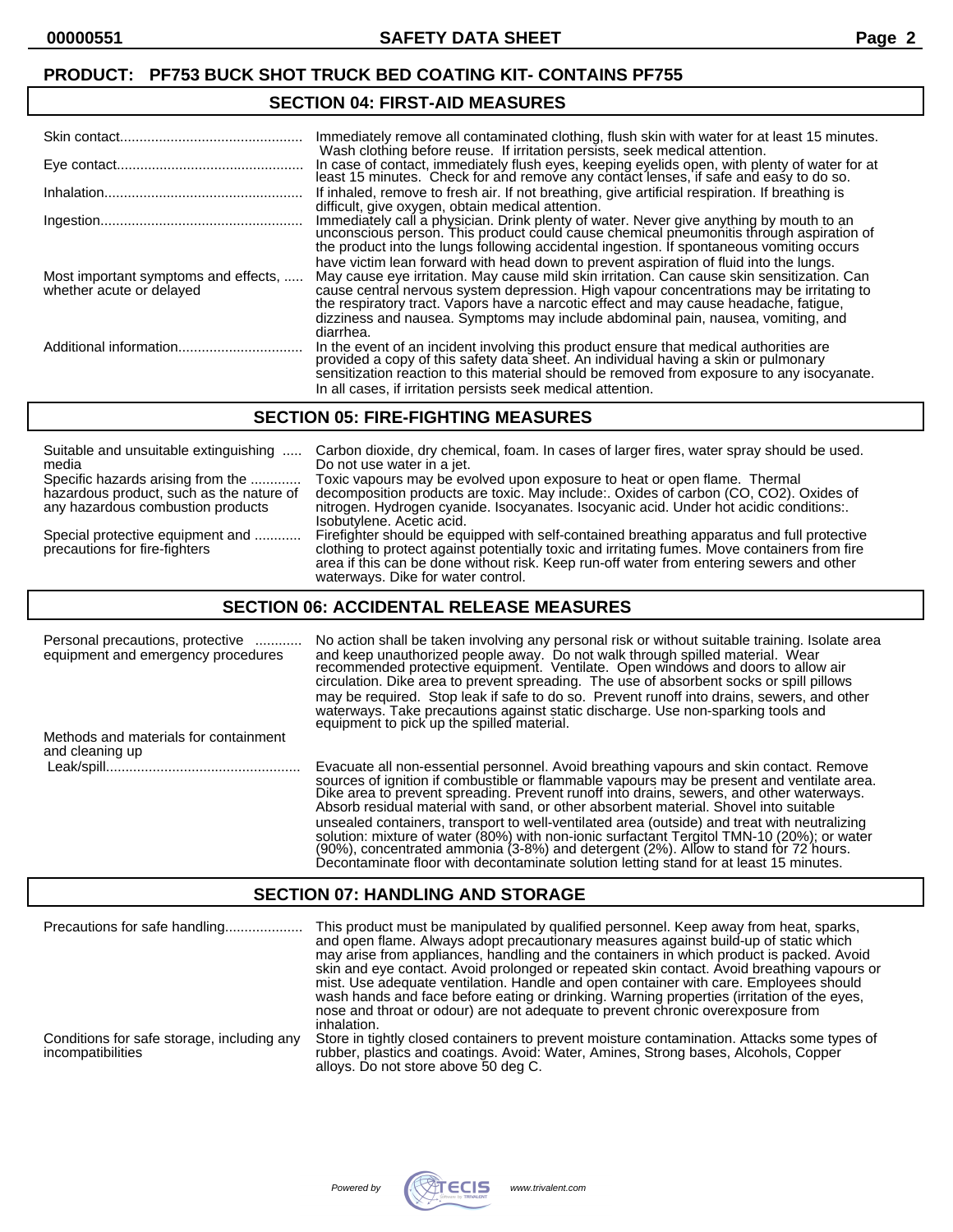#### **PRODUCT: PF753 BUCK SHOT TRUCK BED COATING KIT- CONTAINS PF755**

#### **SECTION 04: FIRST-AID MEASURES**

|                                                                  | Immediately remove all contaminated clothing, flush skin with water for at least 15 minutes.<br>Wash clothing before reuse. If irritation persists, seek medical attention.                                                                                                                                                                                                                                                                                                 |
|------------------------------------------------------------------|-----------------------------------------------------------------------------------------------------------------------------------------------------------------------------------------------------------------------------------------------------------------------------------------------------------------------------------------------------------------------------------------------------------------------------------------------------------------------------|
|                                                                  | In case of contact, immediately flush eyes, keeping eyelids open, with plenty of water for at<br>least 15 minutes. Check for and remove any contact lenses, if safe and easy to do so.                                                                                                                                                                                                                                                                                      |
|                                                                  | If inhaled, remove to fresh air. If not breathing, give artificial respiration. If breathing is<br>difficult, give oxygen, obtain medical attention.                                                                                                                                                                                                                                                                                                                        |
|                                                                  | Immediately call a physician. Drink plenty of water. Never give anything by mouth to an<br>unconscious person. This product could cause chemical pheumonitis through aspiration of<br>the product into the lungs following accidental ingestion. If spontaneous vomiting occurs                                                                                                                                                                                             |
| Most important symptoms and effects,<br>whether acute or delayed | have victim lean forward with head down to prevent aspiration of fluid into the lungs.<br>May cause eye irritation. May cause mild skin irritation. Can cause skin sensitization. Can<br>cause central nervous system depression. High vapour concentrations may be irritating to<br>the respiratory tract. Vapors have a narcotic effect and may cause headache, fatigue,<br>dizziness and nausea. Symptoms may include abdominal pain, nausea, vomiting, and<br>diarrhea. |
|                                                                  | In the event of an incident involving this product ensure that medical authorities are provided a copy of this safety data sheet. An individual having a skin or pulmonary<br>sensitization reaction to this material should be removed from exposure to any isocyanate.<br>In all cases, if irritation persists seek medical attention.                                                                                                                                    |

#### **SECTION 05: FIRE-FIGHTING MEASURES**

| Suitable and unsuitable extinguishing                             | Carbon dioxide, dry chemical, foam. In cases of larger fires, water spray should be used.                                                                                                                                                                                                                                     |
|-------------------------------------------------------------------|-------------------------------------------------------------------------------------------------------------------------------------------------------------------------------------------------------------------------------------------------------------------------------------------------------------------------------|
| media                                                             | Do not use water in a jet.                                                                                                                                                                                                                                                                                                    |
| Specific hazards arising from the                                 | Toxic vapours may be evolved upon exposure to heat or open flame. Thermal                                                                                                                                                                                                                                                     |
| hazardous product, such as the nature of                          | decomposition products are toxic. May include:. Oxides of carbon (CO, CO2). Oxides of                                                                                                                                                                                                                                         |
| any hazardous combustion products                                 | nitrogen. Hydrogen cyanide. Isocyanates. Isocyanic acid. Under hot acidic conditions:.<br>Isobutylene. Acetic acid.                                                                                                                                                                                                           |
| Special protective equipment and<br>precautions for fire-fighters | Firefighter should be equipped with self-contained breathing apparatus and full protective<br>clothing to protect against potentially toxic and irritating fumes. Move containers from fire<br>area if this can be done without risk. Keep run-off water from entering sewers and other<br>waterways. Dike for water control. |

#### **SECTION 06: ACCIDENTAL RELEASE MEASURES**

| Personal precautions, protective<br>equipment and emergency procedures | No action shall be taken involving any personal risk or without suitable training. Isolate area<br>and keep unauthorized people away. Do not walk through spilled material. Wear<br>recommended protective equipment. Ventilate. Open windows and doors to allow air<br>circulation. Dike area to prevent spreading. The use of absorbent socks or spill pillows<br>may be required. Stop leak if safe to do so. Prevent runoff into drains, sewers, and other<br>waterways. Take precautions against static discharge. Use non-sparking tools and<br>equipment to pick up the spilled material.                                                               |
|------------------------------------------------------------------------|----------------------------------------------------------------------------------------------------------------------------------------------------------------------------------------------------------------------------------------------------------------------------------------------------------------------------------------------------------------------------------------------------------------------------------------------------------------------------------------------------------------------------------------------------------------------------------------------------------------------------------------------------------------|
| Methods and materials for containment<br>and cleaning up               |                                                                                                                                                                                                                                                                                                                                                                                                                                                                                                                                                                                                                                                                |
|                                                                        | Evacuate all non-essential personnel. Avoid breathing vapours and skin contact. Remove<br>sources of ignition if combustible or flammable vapours may be present and ventilate area.<br>Dike area to prevent spreading. Prevent runoff into drains, sewers, and other waterways.<br>Absorb residual material with sand, or other absorbent material. Shovel into suitable<br>unsealed containers, transport to well-ventilated area (outside) and treat with neutralizing<br>solution: mixture of water (80%) with non-ionic surfactant Tergitol TMN-10 (20%); or water<br>(90%), concentrated ammonia (3-8%) and detergent (2%). Allow to stand for 72 hours. |

#### **SECTION 07: HANDLING AND STORAGE**

| Precautions for safe handling                                   | This product must be manipulated by qualified personnel. Keep away from heat, sparks,<br>and open flame. Always adopt precautionary measures against build-up of static which<br>may arise from appliances, handling and the containers in which product is packed. Avoid<br>skin and eye contact. Avoid prolonged or repeated skin contact. Avoid breathing vapours or<br>mist. Use adequate ventilation. Handle and open container with care. Employees should<br>wash hands and face before eating or drinking. Warning properties (irritation of the eyes,<br>nose and throat or odour) are not adequate to prevent chronic overexposure from<br>inhalation. |
|-----------------------------------------------------------------|------------------------------------------------------------------------------------------------------------------------------------------------------------------------------------------------------------------------------------------------------------------------------------------------------------------------------------------------------------------------------------------------------------------------------------------------------------------------------------------------------------------------------------------------------------------------------------------------------------------------------------------------------------------|
| Conditions for safe storage, including any<br>incompatibilities | Store in tightly closed containers to prevent moisture contamination. Attacks some types of<br>rubber, plastics and coatings. Avoid: Water, Amines, Strong bases, Alcohols, Copper<br>alloys. Do not store above 50 deg C.                                                                                                                                                                                                                                                                                                                                                                                                                                       |



Decontaminate floor with decontaminate solution letting stand for at least 15 minutes.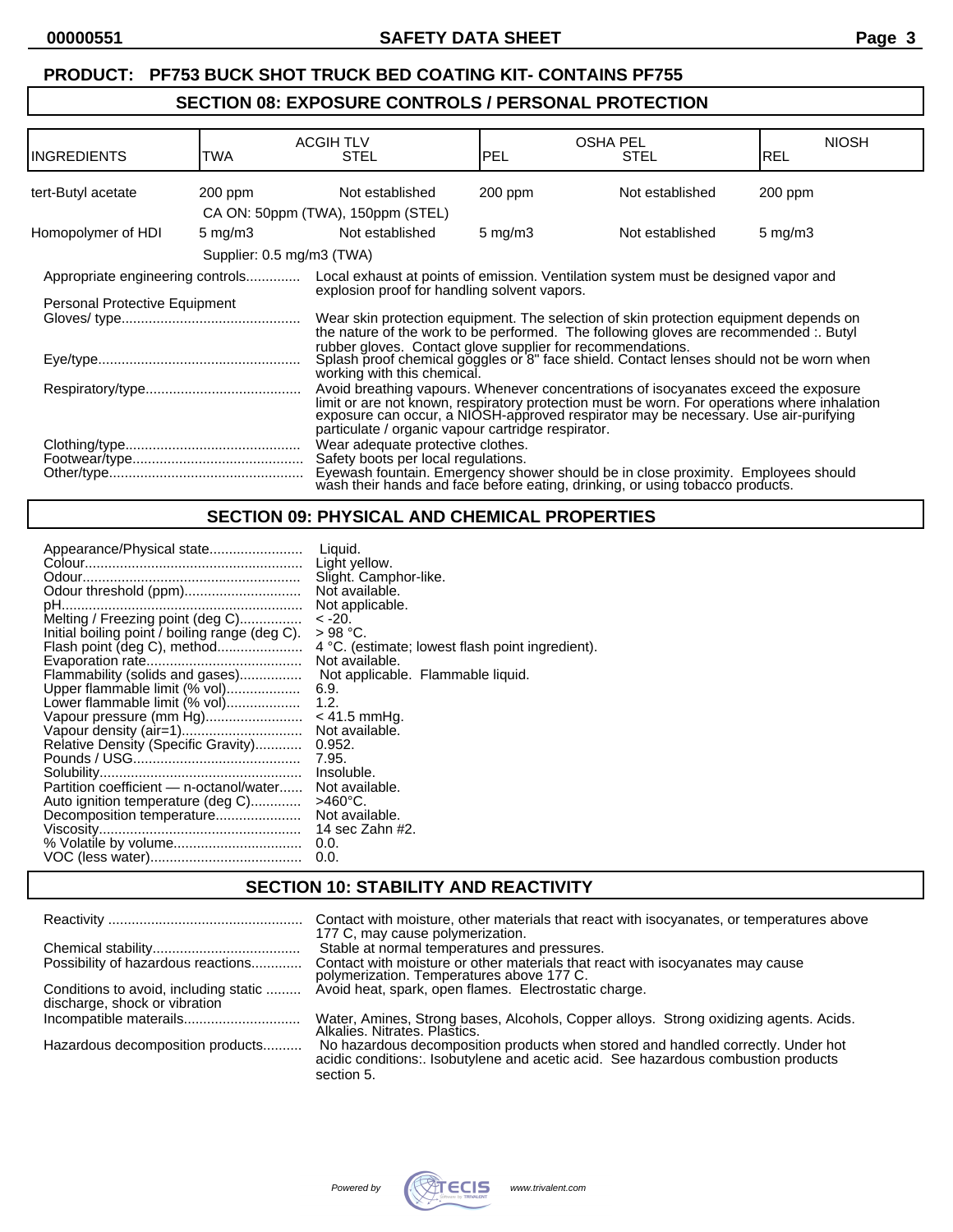# **PRODUCT: PF753 BUCK SHOT TRUCK BED COATING KIT- CONTAINS PF755**

#### **SECTION 08: EXPOSURE CONTROLS / PERSONAL PROTECTION**

| IINGREDIENTS                     | TWA                         | <b>ACGIH TLV</b><br>STEL                                                                                                                                                                                                                                                                                                         | <b>PEL</b>       | OSHA PEL<br>STEL                                                                                                                                                | <b>NIOSH</b><br>IREL |
|----------------------------------|-----------------------------|----------------------------------------------------------------------------------------------------------------------------------------------------------------------------------------------------------------------------------------------------------------------------------------------------------------------------------|------------------|-----------------------------------------------------------------------------------------------------------------------------------------------------------------|----------------------|
| tert-Butyl acetate               | 200 ppm                     | Not established                                                                                                                                                                                                                                                                                                                  | 200 ppm          | Not established                                                                                                                                                 | $200$ ppm            |
|                                  |                             | CA ON: 50ppm (TWA), 150ppm (STEL)                                                                                                                                                                                                                                                                                                |                  |                                                                                                                                                                 |                      |
| Homopolymer of HDI               | $5 \text{ mg/m}$ 3          | Not established                                                                                                                                                                                                                                                                                                                  | $5 \text{ mg/m}$ | Not established                                                                                                                                                 | $5 \text{ mg/m}$ 3   |
|                                  | Supplier: 0.5 mg/m3 (TWA)   |                                                                                                                                                                                                                                                                                                                                  |                  |                                                                                                                                                                 |                      |
| Appropriate engineering controls |                             |                                                                                                                                                                                                                                                                                                                                  |                  | Local exhaust at points of emission. Ventilation system must be designed vapor and                                                                              |                      |
| Personal Protective Equipment    |                             | explosion proof for handling solvent vapors.                                                                                                                                                                                                                                                                                     |                  |                                                                                                                                                                 |                      |
|                                  |                             | Wear skin protection equipment. The selection of skin protection equipment depends on<br>the nature of the work to be performed. The following gloves are recommended :. Butyl                                                                                                                                                   |                  |                                                                                                                                                                 |                      |
|                                  | working with this chemical. |                                                                                                                                                                                                                                                                                                                                  |                  | rubber gloves. Contact glove supplier for recommendations.<br>Splash proof chemical goggles or 8" face shield. Contact lenses should not be worn when           |                      |
|                                  |                             | Avoid breathing vapours. Whenever concentrations of isocyanates exceed the exposure<br>limit or are not known, respiratory protection must be worn. For operations where inhalation<br>exposure can occur, a NIOSH-approved respirator may be necessary. Use air-purifying<br>particulate / organic vapour cartridge respirator. |                  |                                                                                                                                                                 |                      |
|                                  |                             | Wear adequate protective clothes.<br>Safety boots per local regulations.                                                                                                                                                                                                                                                         |                  | Eyewash fountain. Emergency shower should be in close proximity. Employees should wash their hands and face before eating, drinking, or using tobacco products. |                      |

# **SECTION 09: PHYSICAL AND CHEMICAL PROPERTIES**

| Appearance/Physical state<br>Odour threshold (ppm)<br>Melting / Freezing point (deg C)<br>Initial boiling point / boiling range (deg C).<br>Flash point (deg C), method<br>Flammability (solids and gases)<br>Upper flammable limit (% vol)<br>Lower flammable limit (% vol)<br>Vapour pressure (mm Hg)<br>Vapour density (air=1)<br>Relative Density (Specific Gravity) | Liauid.<br>Light yellow.<br>Slight. Camphor-like.<br>Not available.<br>Not applicable.<br>$-20.$<br>$>98$ °C.<br>4 °C. (estimate; lowest flash point ingredient).<br>Not available.<br>Not applicable. Flammable liquid.<br>6.9.<br>1.2.<br>$< 41.5$ mmHq.<br>Not available.<br>0.952.<br>7.95. |
|--------------------------------------------------------------------------------------------------------------------------------------------------------------------------------------------------------------------------------------------------------------------------------------------------------------------------------------------------------------------------|-------------------------------------------------------------------------------------------------------------------------------------------------------------------------------------------------------------------------------------------------------------------------------------------------|
|                                                                                                                                                                                                                                                                                                                                                                          |                                                                                                                                                                                                                                                                                                 |
|                                                                                                                                                                                                                                                                                                                                                                          |                                                                                                                                                                                                                                                                                                 |
|                                                                                                                                                                                                                                                                                                                                                                          |                                                                                                                                                                                                                                                                                                 |
|                                                                                                                                                                                                                                                                                                                                                                          | Insoluble.                                                                                                                                                                                                                                                                                      |
| Partition coefficient - n-octanol/water<br>Auto ignition temperature (deg C)                                                                                                                                                                                                                                                                                             | Not available.<br>>460°C.                                                                                                                                                                                                                                                                       |
| Decomposition temperature                                                                                                                                                                                                                                                                                                                                                | Not available.                                                                                                                                                                                                                                                                                  |
|                                                                                                                                                                                                                                                                                                                                                                          | 14 sec Zahn #2.<br>0.0.                                                                                                                                                                                                                                                                         |
|                                                                                                                                                                                                                                                                                                                                                                          | 0.0.                                                                                                                                                                                                                                                                                            |

# **SECTION 10: STABILITY AND REACTIVITY**

|                                                                        | Contact with moisture, other materials that react with isocyanates, or temperatures above<br>177 C, may cause polymerization.                                                       |
|------------------------------------------------------------------------|-------------------------------------------------------------------------------------------------------------------------------------------------------------------------------------|
|                                                                        | Stable at normal temperatures and pressures.                                                                                                                                        |
| Possibility of hazardous reactions                                     | Contact with moisture or other materials that react with isocyanates may cause<br>polymerization. Temperatures above 177 C.                                                         |
| Conditions to avoid, including static<br>discharge, shock or vibration | Avoid heat, spark, open flames. Electrostatic charge.                                                                                                                               |
|                                                                        | Water, Amines, Strong bases, Alcohols, Copper alloys. Strong oxidizing agents. Acids.<br>Alkalies, Nitrates, Plastics.                                                              |
| Hazardous decomposition products                                       | No hazardous decomposition products when stored and handled correctly. Under hot<br>acidic conditions: Isobutylene and acetic acid. See hazardous combustion products<br>section 5. |

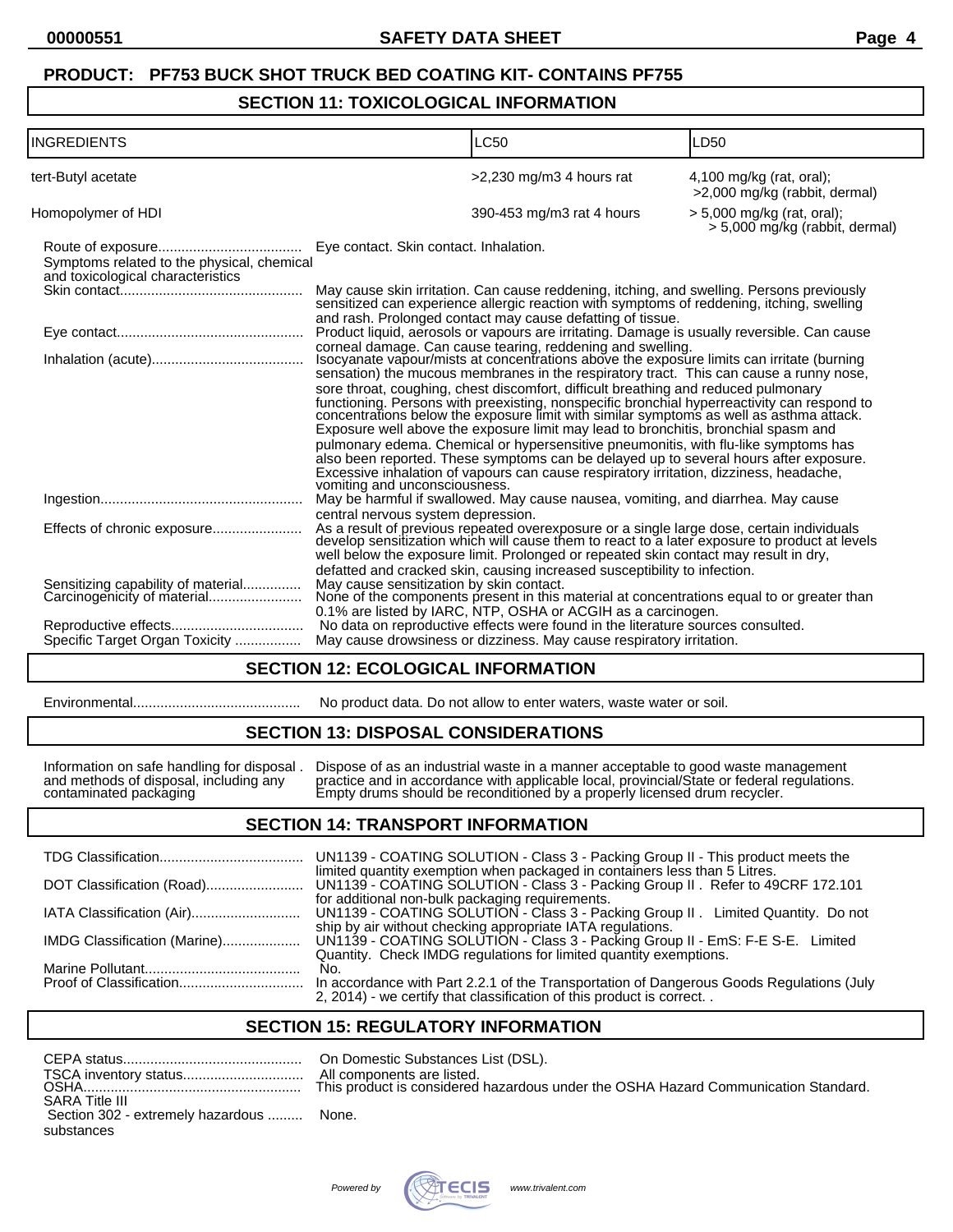# **PRODUCT: PF753 BUCK SHOT TRUCK BED COATING KIT- CONTAINS PF755**

#### **SECTION 11: TOXICOLOGICAL INFORMATION**

| <b>INGREDIENTS</b>                                                              |                                                                                                                                                                                                                         | <b>LC50</b>                                                                                                                                                                                                                                                                                                                                                                                                                                                                                                                                                                                                                                                                                                                                                                                                                      | LD50                                                           |
|---------------------------------------------------------------------------------|-------------------------------------------------------------------------------------------------------------------------------------------------------------------------------------------------------------------------|----------------------------------------------------------------------------------------------------------------------------------------------------------------------------------------------------------------------------------------------------------------------------------------------------------------------------------------------------------------------------------------------------------------------------------------------------------------------------------------------------------------------------------------------------------------------------------------------------------------------------------------------------------------------------------------------------------------------------------------------------------------------------------------------------------------------------------|----------------------------------------------------------------|
| tert-Butyl acetate                                                              |                                                                                                                                                                                                                         | $>2,230$ mg/m3 4 hours rat                                                                                                                                                                                                                                                                                                                                                                                                                                                                                                                                                                                                                                                                                                                                                                                                       | $4,100$ mg/kg (rat, oral);<br>>2,000 mg/kg (rabbit, dermal)    |
| Homopolymer of HDI                                                              |                                                                                                                                                                                                                         | 390-453 mg/m3 rat 4 hours                                                                                                                                                                                                                                                                                                                                                                                                                                                                                                                                                                                                                                                                                                                                                                                                        | $> 5,000$ mg/kg (rat, oral);<br>> 5,000 mg/kg (rabbit, dermal) |
| Symptoms related to the physical, chemical<br>and toxicological characteristics | Eye contact. Skin contact. Inhalation.                                                                                                                                                                                  |                                                                                                                                                                                                                                                                                                                                                                                                                                                                                                                                                                                                                                                                                                                                                                                                                                  |                                                                |
|                                                                                 |                                                                                                                                                                                                                         | May cause skin irritation. Can cause reddening, itching, and swelling. Persons previously sensitized can experience allergic reaction with symptoms of reddening, itching, swelling                                                                                                                                                                                                                                                                                                                                                                                                                                                                                                                                                                                                                                              |                                                                |
|                                                                                 | and rash. Prolonged contact may cause defatting of tissue.<br>Product liquid, aerosols or vapours are irritating. Damage is usually reversible. Can cause<br>corneal damage. Can cause tearing, reddening and swelling. |                                                                                                                                                                                                                                                                                                                                                                                                                                                                                                                                                                                                                                                                                                                                                                                                                                  |                                                                |
|                                                                                 | vomiting and unconsciousness.                                                                                                                                                                                           | Isocyanate vapour/mists at concentrations above the exposure limits can irritate (burning<br>sensation) the mucous membranes in the respiratory tract. This can cause a runny nose,<br>sore throat, coughing, chest discomfort, difficult breathing and reduced pulmonary<br>functioning. Persons with preexisting, nonspecific bronchial hyperreactivity can respond to concentrations below the exposure limit with similar symptoms as well as asthma attack.<br>Exposure well above the exposure limit may lead to bronchitis, bronchial spasm and<br>pulmonary edema. Chemical or hypersensitive pneumonitis, with flu-like symptoms has<br>also been reported. These symptoms can be delayed up to several hours after exposure.<br>Excessive inhalation of vapours can cause respiratory irritation, dizziness, headache, |                                                                |
|                                                                                 | central nervous system depression.                                                                                                                                                                                      | May be harmful if swallowed. May cause nausea, vomiting, and diarrhea. May cause                                                                                                                                                                                                                                                                                                                                                                                                                                                                                                                                                                                                                                                                                                                                                 |                                                                |
|                                                                                 |                                                                                                                                                                                                                         | As a result of previous repeated overexposure or a single large dose, certain individuals develop sensitization which will cause them to react to a later exposure to product at levels<br>well below the exposure limit. Prolonged or repeated skin contact may result in dry,<br>defatted and cracked skin, causing increased susceptibility to infection.                                                                                                                                                                                                                                                                                                                                                                                                                                                                     |                                                                |
| Sensitizing capability of material<br>Carcinogenicity of material               | May cause sensitization by skin contact.                                                                                                                                                                                | None of the components present in this material at concentrations equal to or greater than<br>0.1% are listed by IARC, NTP, OSHA or ACGIH as a carcinogen.                                                                                                                                                                                                                                                                                                                                                                                                                                                                                                                                                                                                                                                                       |                                                                |
|                                                                                 |                                                                                                                                                                                                                         | No data on reproductive effects were found in the literature sources consulted.                                                                                                                                                                                                                                                                                                                                                                                                                                                                                                                                                                                                                                                                                                                                                  |                                                                |
| Specific Target Organ Toxicity                                                  |                                                                                                                                                                                                                         | May cause drowsiness or dizziness. May cause respiratory irritation.                                                                                                                                                                                                                                                                                                                                                                                                                                                                                                                                                                                                                                                                                                                                                             |                                                                |

#### **SECTION 12: ECOLOGICAL INFORMATION**

Environmental........................................... No product data. Do not allow to enter waters, waste water or soil.

#### **SECTION 13: DISPOSAL CONSIDERATIONS**

Information on safe handling for disposal . Dispose of as an industrial waste in a manner acceptable to good waste management and methods of disposal, including any practice and in accordance with applicable local, provincial/State or federal regulations. contaminated packaging Empty drums should be reconditioned by a properly licensed drum recycler.

#### **SECTION 14: TRANSPORT INFORMATION**

| UN1139 - COATING SOLUTION - Class 3 - Packing Group II - This product meets the                                                                                                                                                                 |
|-------------------------------------------------------------------------------------------------------------------------------------------------------------------------------------------------------------------------------------------------|
| limited quantity exemption when packaged in containers less than 5 Litres.                                                                                                                                                                      |
| for additional non-bulk packaging requirements.<br>UN1139 - COATING SOLUTION - Class 3 - Packing Group II. Limited Quantity. Do not                                                                                                             |
| ship by air without checking appropriate IATA regulations.<br>UN1139 - COATING SOLUTION - Class 3 - Packing Group II - EmS: F-E S-E. Limited<br>IMDG Classification (Marine)                                                                    |
| Quantity. Check IMDG regulations for limited quantity exemptions.<br>No.<br>In accordance with Part 2.2.1 of the Transportation of Dangerous Goods Regulations (July<br>2, 2014) - we certify that classification of this product is correct. . |
|                                                                                                                                                                                                                                                 |

#### **SECTION 15: REGULATORY INFORMATION**

|                                          | All con |
|------------------------------------------|---------|
|                                          |         |
| <b>SARA Title III</b>                    |         |
| Section 302 - extremely hazardous  None. |         |
| substances                               |         |

On Domestic Substances List (DSL). All components are listed. his product is considered hazardous under the OSHA Hazard Communication Standard.